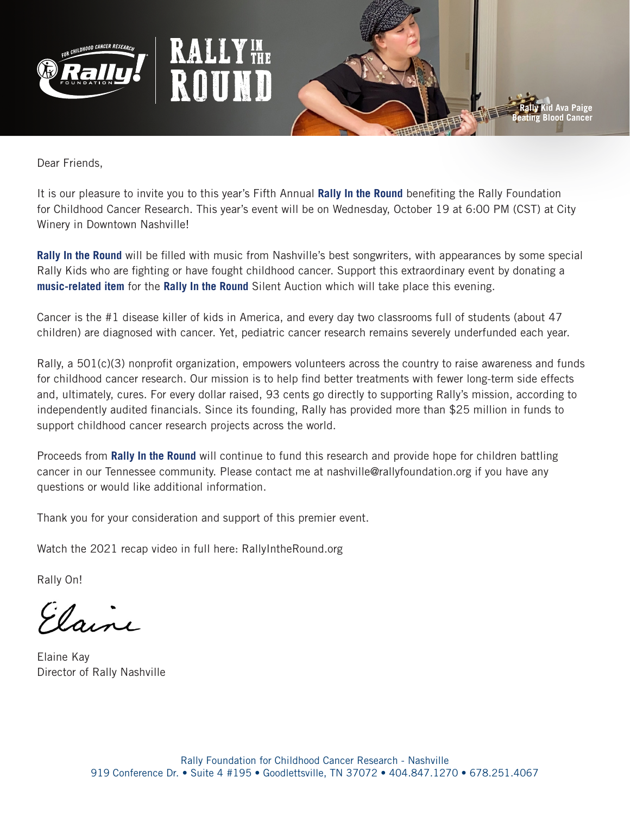





Dear Friends,

It is our pleasure to invite you to this year's Fifth Annual **Rally In the Round** benefiting the Rally Foundation for Childhood Cancer Research. This year's event will be on Wednesday, October 19 at 6:00 PM (CST) at City Winery in Downtown Nashville!

**Rally In the Round** will be filled with music from Nashville's best songwriters, with appearances by some special Rally Kids who are fighting or have fought childhood cancer. Support this extraordinary event by donating a **music-related item** for the **Rally In the Round** Silent Auction which will take place this evening.

Cancer is the #1 disease killer of kids in America, and every day two classrooms full of students (about 47 children) are diagnosed with cancer. Yet, pediatric cancer research remains severely underfunded each year.

Rally, a 501(c)(3) nonprofit organization, empowers volunteers across the country to raise awareness and funds for childhood cancer research. Our mission is to help find better treatments with fewer long-term side effects and, ultimately, cures. For every dollar raised, 93 cents go directly to supporting Rally's mission, according to independently audited financials. Since its founding, Rally has provided more than \$25 million in funds to support childhood cancer research projects across the world.

Proceeds from **Rally In the Round** will continue to fund this research and provide hope for children battling cancer in our Tennessee community. Please contact me at nashville@rallyfoundation.org if you have any questions or would like additional information.

Thank you for your consideration and support of this premier event.

Watch the 2021 recap video in full here: RallyIntheRound.org

Rally On!

Elaine

Elaine Kay Director of Rally Nashville